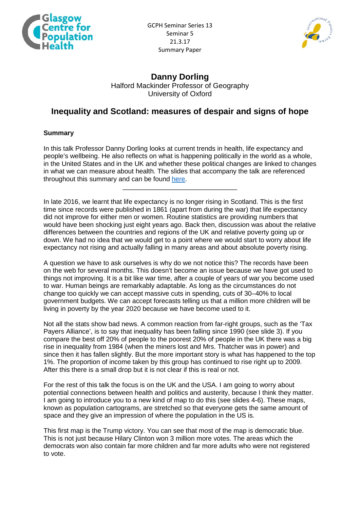



## **Danny Dorling** Halford Mackinder Professor of Geography University of Oxford

## **Inequality and Scotland: measures of despair and signs of hope**

## **Summary**

In this talk Professor Danny Dorling looks at current trends in health, life expectancy and people's wellbeing. He also reflects on what is happening politically in the world as a whole, in the United States and in the UK and whether these political changes are linked to changes in what we can measure about health. The slides that accompany the talk are referenced throughout this summary and can be found [here.](http://www.gcph.co.uk/assets/0000/6097/DannyDorlingGlasgow.pdf)

\_\_\_\_\_\_\_\_\_\_\_\_\_\_\_\_\_\_\_\_\_\_\_\_\_\_\_\_\_\_\_

In late 2016, we learnt that life expectancy is no longer rising in Scotland. This is the first time since records were published in 1861 (apart from during the war) that life expectancy did not improve for either men or women. Routine statistics are providing numbers that would have been shocking just eight years ago. Back then, discussion was about the relative differences between the countries and regions of the UK and relative poverty going up or down. We had no idea that we would get to a point where we would start to worry about life expectancy not rising and actually falling in many areas and about absolute poverty rising.

A question we have to ask ourselves is why do we not notice this? The records have been on the web for several months. This doesn't become an issue because we have got used to things not improving. It is a bit like war time, after a couple of years of war you become used to war. Human beings are remarkably adaptable. As long as the circumstances do not change too quickly we can accept massive cuts in spending, cuts of 30–40% to local government budgets. We can accept forecasts telling us that a million more children will be living in poverty by the year 2020 because we have become used to it.

Not all the stats show bad news. A common reaction from far-right groups, such as the 'Tax Payers Alliance', is to say that inequality has been falling since 1990 (see slide 3). If you compare the best off 20% of people to the poorest 20% of people in the UK there was a big rise in inequality from 1984 (when the miners lost and Mrs. Thatcher was in power) and since then it has fallen slightly. But the more important story is what has happened to the top 1%. The proportion of income taken by this group has continued to rise right up to 2009. After this there is a small drop but it is not clear if this is real or not.

For the rest of this talk the focus is on the UK and the USA. I am going to worry about potential connections between health and politics and austerity, because I think they matter. I am going to introduce you to a new kind of map to do this (see slides 4-6). These maps, known as population cartograms, are stretched so that everyone gets the same amount of space and they give an impression of where the population in the US is.

This first map is the Trump victory. You can see that most of the map is democratic blue. This is not just because Hilary Clinton won 3 million more votes. The areas which the democrats won also contain far more children and far more adults who were not registered to vote.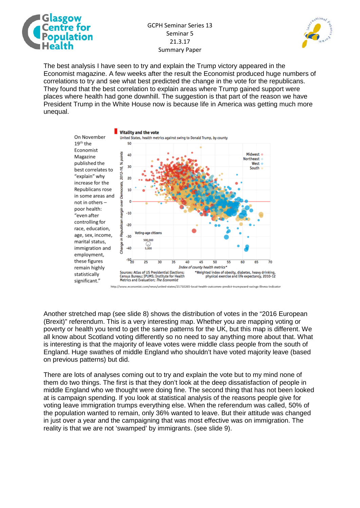

## GCPH Seminar Series 13 Seminar 5 21.3.17 Summary Paper



The best analysis I have seen to try and explain the Trump victory appeared in the Economist magazine. A few weeks after the result the Economist produced huge numbers of correlations to try and see what best predicted the change in the vote for the republicans. They found that the best correlation to explain areas where Trump gained support were places where health had gone downhill. The suggestion is that part of the reason we have President Trump in the White House now is because life in America was getting much more unequal.



Another stretched map (see slide 8) shows the distribution of votes in the "2016 European (Brexit)" referendum. This is a very interesting map. Whether you are mapping voting or poverty or health you tend to get the same patterns for the UK, but this map is different. We all know about Scotland voting differently so no need to say anything more about that. What is interesting is that the majority of leave votes were middle class people from the south of England. Huge swathes of middle England who shouldn't have voted majority leave (based on previous patterns) but did.

There are lots of analyses coming out to try and explain the vote but to my mind none of them do two things. The first is that they don't look at the deep dissatisfaction of people in middle England who we thought were doing fine. The second thing that has not been looked at is campaign spending. If you look at statistical analysis of the reasons people give for voting leave immigration trumps everything else. When the referendum was called, 50% of the population wanted to remain, only 36% wanted to leave. But their attitude was changed in just over a year and the campaigning that was most effective was on immigration. The reality is that we are not 'swamped' by immigrants. (see slide 9).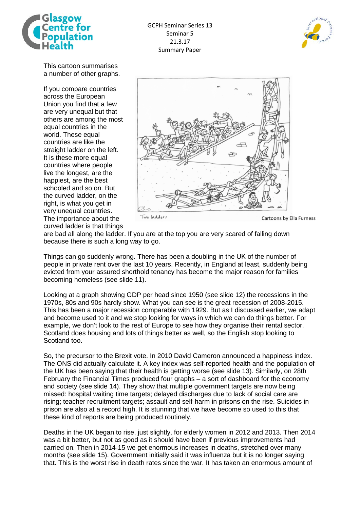



This cartoon summarises a number of other graphs.

If you compare countries across the European Union you find that a few are very unequal but that others are among the most equal countries in the world. These equal countries are like the straight ladder on the left. It is these more equal countries where people live the longest, are the happiest, are the best schooled and so on. But the curved ladder, on the right, is what you get in very unequal countries. The importance about the curved ladder is that things



Cartoons by Ella Furness

are bad all along the ladder. If you are at the top you are very scared of falling down because there is such a long way to go.

Things can go suddenly wrong. There has been a doubling in the UK of the number of people in private rent over the last 10 years. Recently, in England at least, suddenly being evicted from your assured shorthold tenancy has become the major reason for families becoming homeless (see slide 11).

Looking at a graph showing GDP per head since 1950 (see slide 12) the recessions in the 1970s, 80s and 90s hardly show. What you can see is the great recession of 2008-2015. This has been a major recession comparable with 1929. But as I discussed earlier, we adapt and become used to it and we stop looking for ways in which we can do things better. For example, we don't look to the rest of Europe to see how they organise their rental sector. Scotland does housing and lots of things better as well, so the English stop looking to Scotland too.

So, the precursor to the Brexit vote. In 2010 David Cameron announced a happiness index. The ONS did actually calculate it. A key index was self-reported health and the population of the UK has been saying that their health is getting worse (see slide 13). Similarly, on 28th February the Financial Times produced four graphs – a sort of dashboard for the economy and society (see slide 14). They show that multiple government targets are now being missed: hospital waiting time targets; delayed discharges due to lack of social care are rising; teacher recruitment targets; assault and self-harm in prisons on the rise. Suicides in prison are also at a record high. It is stunning that we have become so used to this that these kind of reports are being produced routinely.

Deaths in the UK began to rise, just slightly, for elderly women in 2012 and 2013. Then 2014 was a bit better, but not as good as it should have been if previous improvements had carried on. Then in 2014-15 we get enormous increases in deaths, stretched over many months (see slide 15). Government initially said it was influenza but it is no longer saying that. This is the worst rise in death rates since the war. It has taken an enormous amount of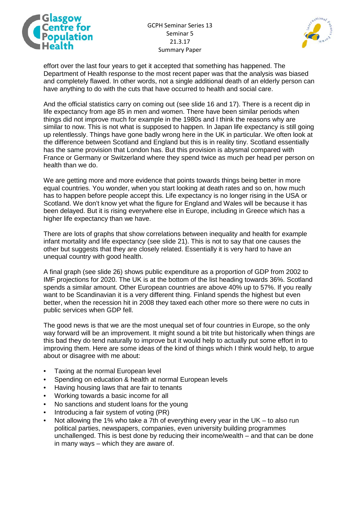

GCPH Seminar Series 13 Seminar 5 21.3.17 Summary Paper



effort over the last four years to get it accepted that something has happened. The Department of Health response to the most recent paper was that the analysis was biased and completely flawed. In other words, not a single additional death of an elderly person can have anything to do with the cuts that have occurred to health and social care.

And the official statistics carry on coming out (see slide 16 and 17). There is a recent dip in life expectancy from age 85 in men and women. There have been similar periods when things did not improve much for example in the 1980s and I think the reasons why are similar to now. This is not what is supposed to happen. In Japan life expectancy is still going up relentlessly. Things have gone badly wrong here in the UK in particular. We often look at the difference between Scotland and England but this is in reality tiny. Scotland essentially has the same provision that London has. But this provision is abysmal compared with France or Germany or Switzerland where they spend twice as much per head per person on health than we do.

We are getting more and more evidence that points towards things being better in more equal countries. You wonder, when you start looking at death rates and so on, how much has to happen before people accept this. Life expectancy is no longer rising in the USA or Scotland. We don't know yet what the figure for England and Wales will be because it has been delayed. But it is rising everywhere else in Europe, including in Greece which has a higher life expectancy than we have.

There are lots of graphs that show correlations between inequality and health for example infant mortality and life expectancy (see slide 21). This is not to say that one causes the other but suggests that they are closely related. Essentially it is very hard to have an unequal country with good health.

A final graph (see slide 26) shows public expenditure as a proportion of GDP from 2002 to IMF projections for 2020. The UK is at the bottom of the list heading towards 36%. Scotland spends a similar amount. Other European countries are above 40% up to 57%. If you really want to be Scandinavian it is a very different thing. Finland spends the highest but even better, when the recession hit in 2008 they taxed each other more so there were no cuts in public services when GDP fell.

The good news is that we are the most unequal set of four countries in Europe, so the only way forward will be an improvement. It might sound a bit trite but historically when things are this bad they do tend naturally to improve but it would help to actually put some effort in to improving them. Here are some ideas of the kind of things which I think would help, to argue about or disagree with me about:

- Taxing at the normal European level
- Spending on education & health at normal European levels
- Having housing laws that are fair to tenants
- Working towards a basic income for all
- No sanctions and student loans for the young
- Introducing a fair system of voting (PR)
- Not allowing the 1% who take a 7th of everything every year in the UK to also run political parties, newspapers, companies, even university building programmes unchallenged. This is best done by reducing their income/wealth – and that can be done in many ways – which they are aware of.